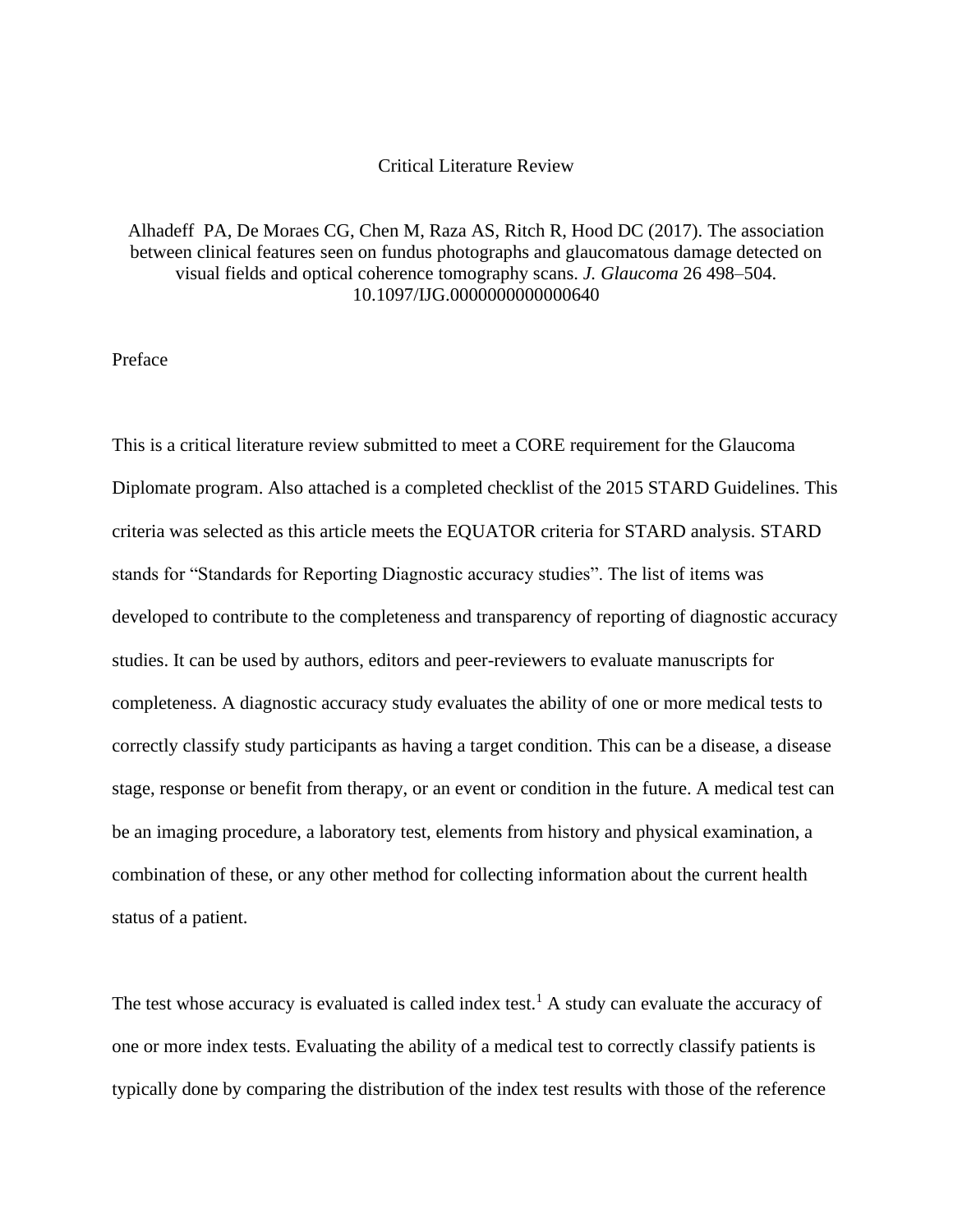# Critical Literature Review

# Alhadeff PA, De Moraes CG, Chen M, Raza AS, Ritch R, Hood DC (2017). The association between clinical features seen on fundus photographs and glaucomatous damage detected on visual fields and optical coherence tomography scans. *J. Glaucoma* 26 498–504. 10.1097/IJG.0000000000000640

Preface

This is a critical literature review submitted to meet a CORE requirement for the Glaucoma Diplomate program. Also attached is a completed checklist of the 2015 STARD Guidelines. This criteria was selected as this article meets the EQUATOR criteria for STARD analysis. STARD stands for "Standards for Reporting Diagnostic accuracy studies". The list of items was developed to contribute to the completeness and transparency of reporting of diagnostic accuracy studies. It can be used by authors, editors and peer-reviewers to evaluate manuscripts for completeness. A diagnostic accuracy study evaluates the ability of one or more medical tests to correctly classify study participants as having a target condition. This can be a disease, a disease stage, response or benefit from therapy, or an event or condition in the future. A medical test can be an imaging procedure, a laboratory test, elements from history and physical examination, a combination of these, or any other method for collecting information about the current health status of a patient.

The test whose accuracy is evaluated is called index test.<sup>1</sup> A study can evaluate the accuracy of one or more index tests. Evaluating the ability of a medical test to correctly classify patients is typically done by comparing the distribution of the index test results with those of the reference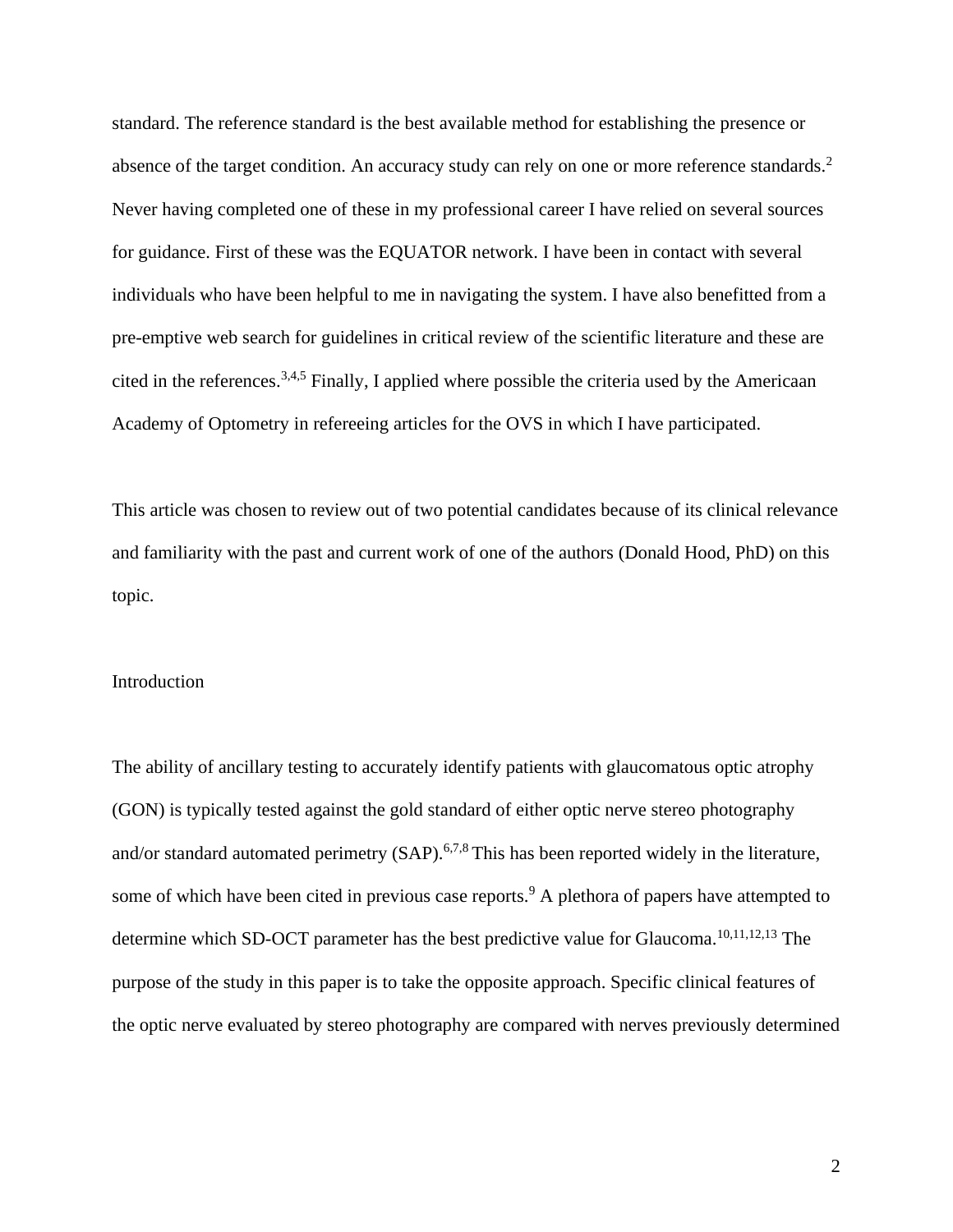standard. The reference standard is the best available method for establishing the presence or absence of the target condition. An accuracy study can rely on one or more reference standards.<sup>2</sup> Never having completed one of these in my professional career I have relied on several sources for guidance. First of these was the EQUATOR network. I have been in contact with several individuals who have been helpful to me in navigating the system. I have also benefitted from a pre-emptive web search for guidelines in critical review of the scientific literature and these are cited in the references.3,4,5 Finally, I applied where possible the criteria used by the Americaan Academy of Optometry in refereeing articles for the OVS in which I have participated.

This article was chosen to review out of two potential candidates because of its clinical relevance and familiarity with the past and current work of one of the authors (Donald Hood, PhD) on this topic.

## Introduction

The ability of ancillary testing to accurately identify patients with glaucomatous optic atrophy (GON) is typically tested against the gold standard of either optic nerve stereo photography and/or standard automated perimetry (SAP).<sup>6,7,8</sup> This has been reported widely in the literature, some of which have been cited in previous case reports.<sup>9</sup> A plethora of papers have attempted to determine which SD-OCT parameter has the best predictive value for Glaucoma.<sup>10,11,12,13</sup> The purpose of the study in this paper is to take the opposite approach. Specific clinical features of the optic nerve evaluated by stereo photography are compared with nerves previously determined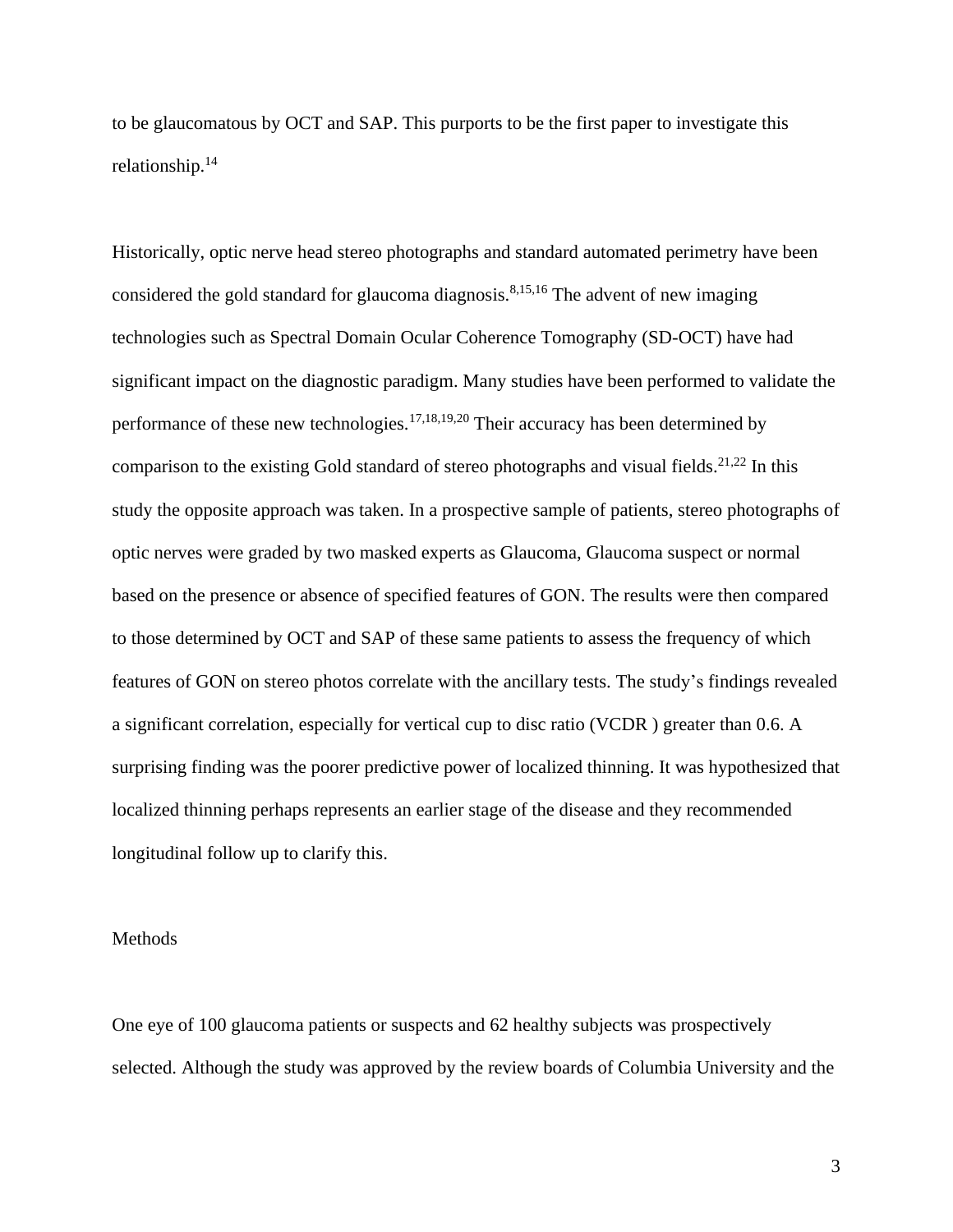to be glaucomatous by OCT and SAP. This purports to be the first paper to investigate this relationship.<sup>14</sup>

Historically, optic nerve head stereo photographs and standard automated perimetry have been considered the gold standard for glaucoma diagnosis.<sup>8,15,16</sup> The advent of new imaging technologies such as Spectral Domain Ocular Coherence Tomography (SD-OCT) have had significant impact on the diagnostic paradigm. Many studies have been performed to validate the performance of these new technologies.<sup>17,18,19,20</sup> Their accuracy has been determined by comparison to the existing Gold standard of stereo photographs and visual fields.<sup>21,22</sup> In this study the opposite approach was taken. In a prospective sample of patients, stereo photographs of optic nerves were graded by two masked experts as Glaucoma, Glaucoma suspect or normal based on the presence or absence of specified features of GON. The results were then compared to those determined by OCT and SAP of these same patients to assess the frequency of which features of GON on stereo photos correlate with the ancillary tests. The study's findings revealed a significant correlation, especially for vertical cup to disc ratio (VCDR ) greater than 0.6. A surprising finding was the poorer predictive power of localized thinning. It was hypothesized that localized thinning perhaps represents an earlier stage of the disease and they recommended longitudinal follow up to clarify this.

# Methods

One eye of 100 glaucoma patients or suspects and 62 healthy subjects was prospectively selected. Although the study was approved by the review boards of Columbia University and the

3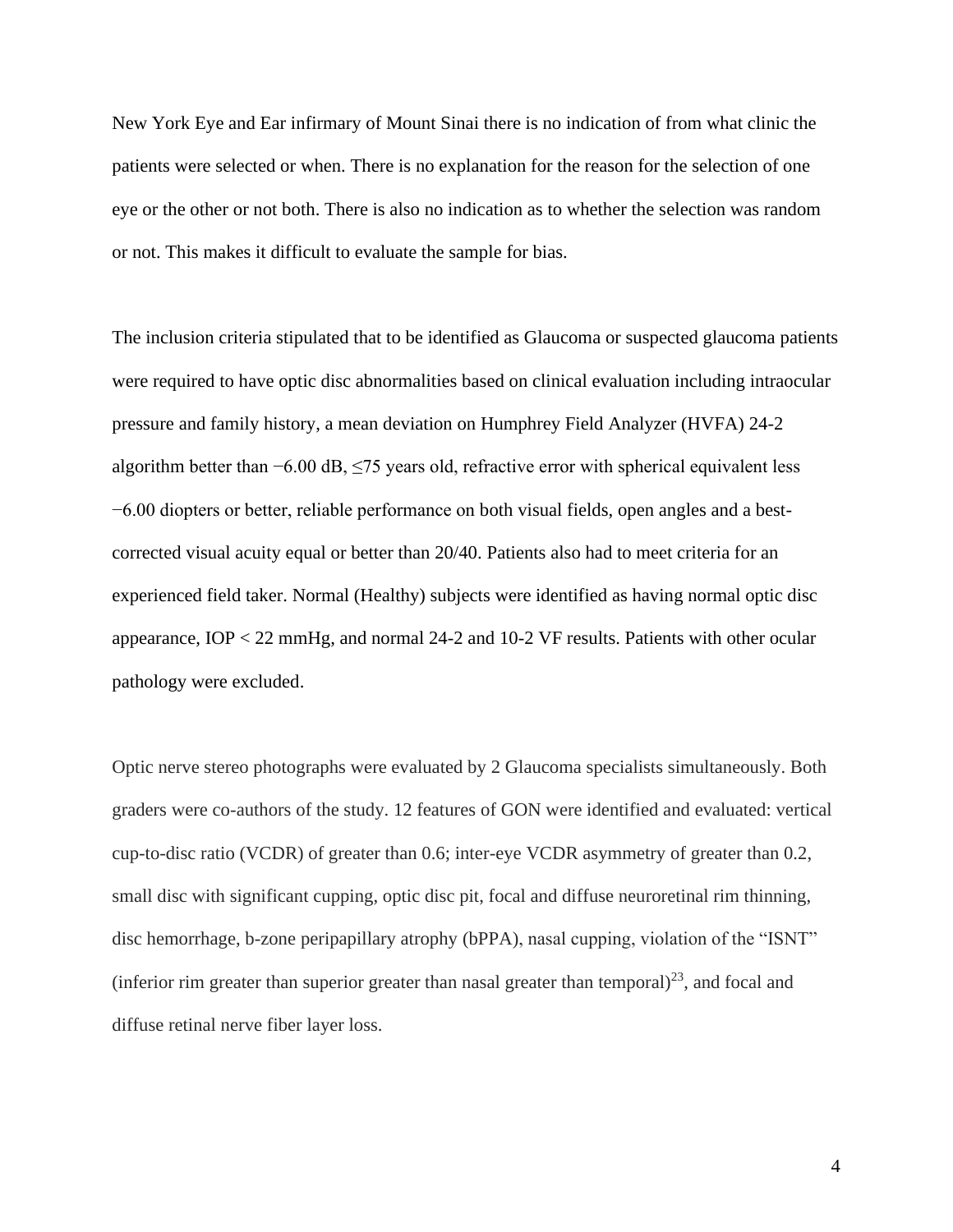New York Eye and Ear infirmary of Mount Sinai there is no indication of from what clinic the patients were selected or when. There is no explanation for the reason for the selection of one eye or the other or not both. There is also no indication as to whether the selection was random or not. This makes it difficult to evaluate the sample for bias.

The inclusion criteria stipulated that to be identified as Glaucoma or suspected glaucoma patients were required to have optic disc abnormalities based on clinical evaluation including intraocular pressure and family history, a mean deviation on Humphrey Field Analyzer (HVFA) 24-2 algorithm better than −6.00 dB, ≤75 years old, refractive error with spherical equivalent less −6.00 diopters or better, reliable performance on both visual fields, open angles and a bestcorrected visual acuity equal or better than 20/40. Patients also had to meet criteria for an experienced field taker. Normal (Healthy) subjects were identified as having normal optic disc appearance, IOP < 22 mmHg, and normal 24-2 and 10-2 VF results. Patients with other ocular pathology were excluded.

Optic nerve stereo photographs were evaluated by 2 Glaucoma specialists simultaneously. Both graders were co-authors of the study. 12 features of GON were identified and evaluated: vertical cup-to-disc ratio (VCDR) of greater than 0.6; inter-eye VCDR asymmetry of greater than 0.2, small disc with significant cupping, optic disc pit, focal and diffuse neuroretinal rim thinning, disc hemorrhage, b-zone peripapillary atrophy (bPPA), nasal cupping, violation of the "ISNT" (inferior rim greater than superior greater than nasal greater than temporal) $^{23}$ , and focal and diffuse retinal nerve fiber layer loss.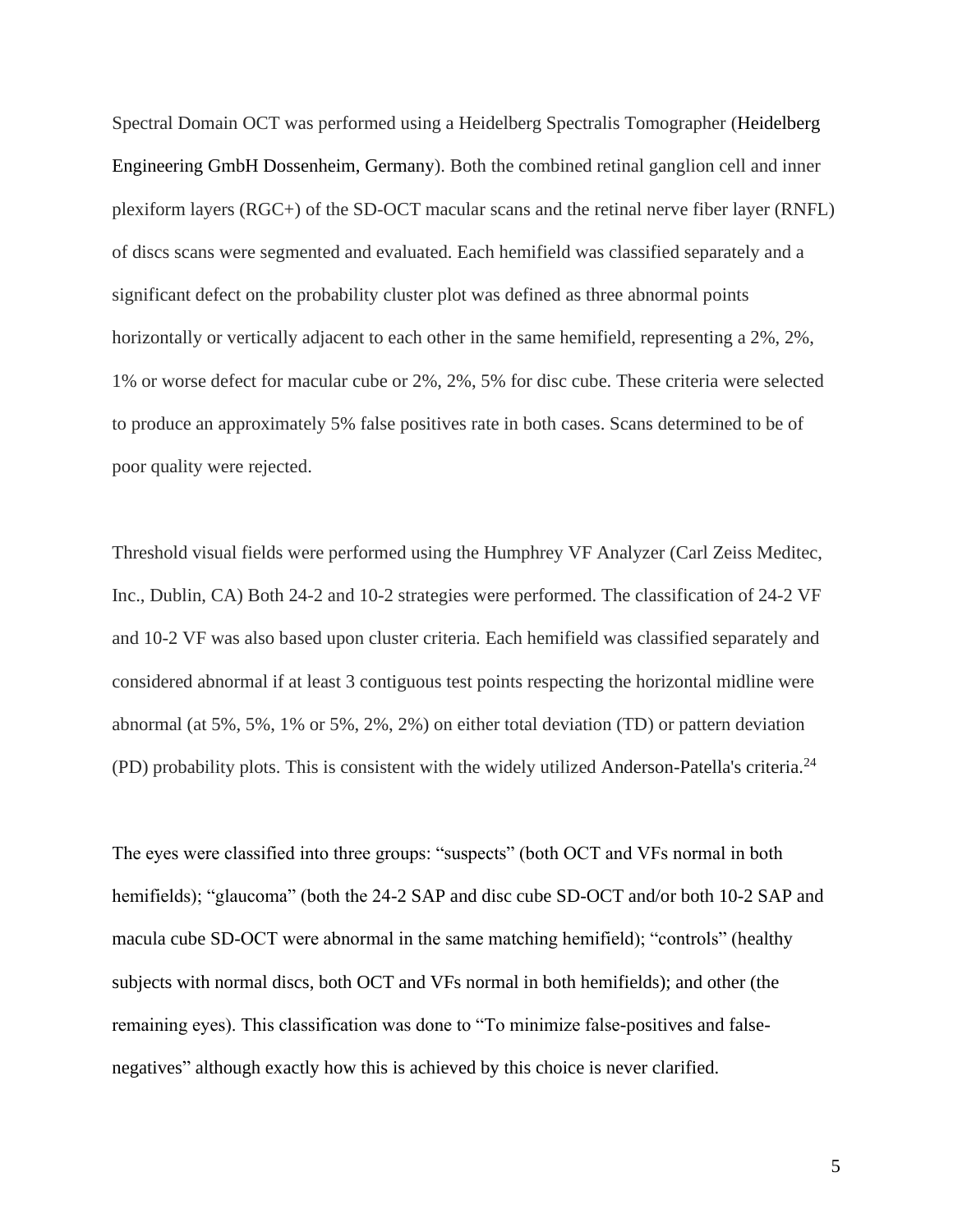Spectral Domain OCT was performed using a Heidelberg Spectralis Tomographer (Heidelberg Engineering GmbH Dossenheim, Germany). Both the combined retinal ganglion cell and inner plexiform layers (RGC+) of the SD-OCT macular scans and the retinal nerve fiber layer (RNFL) of discs scans were segmented and evaluated. Each hemifield was classified separately and a significant defect on the probability cluster plot was defined as three abnormal points horizontally or vertically adjacent to each other in the same hemifield, representing a 2%, 2%, 1% or worse defect for macular cube or 2%, 2%, 5% for disc cube. These criteria were selected to produce an approximately 5% false positives rate in both cases. Scans determined to be of poor quality were rejected.

Threshold visual fields were performed using the Humphrey VF Analyzer (Carl Zeiss Meditec, Inc., Dublin, CA) Both 24-2 and 10-2 strategies were performed. The classification of 24-2 VF and 10-2 VF was also based upon cluster criteria. Each hemifield was classified separately and considered abnormal if at least 3 contiguous test points respecting the horizontal midline were abnormal (at 5%, 5%, 1% or 5%, 2%, 2%) on either total deviation (TD) or pattern deviation (PD) probability plots. This is consistent with the widely utilized Anderson-Patella's criteria.<sup>24</sup>

The eyes were classified into three groups: "suspects" (both OCT and VFs normal in both hemifields); "glaucoma" (both the 24-2 SAP and disc cube SD-OCT and/or both 10-2 SAP and macula cube SD-OCT were abnormal in the same matching hemifield); "controls" (healthy subjects with normal discs, both OCT and VFs normal in both hemifields); and other (the remaining eyes). This classification was done to "To minimize false-positives and falsenegatives" although exactly how this is achieved by this choice is never clarified.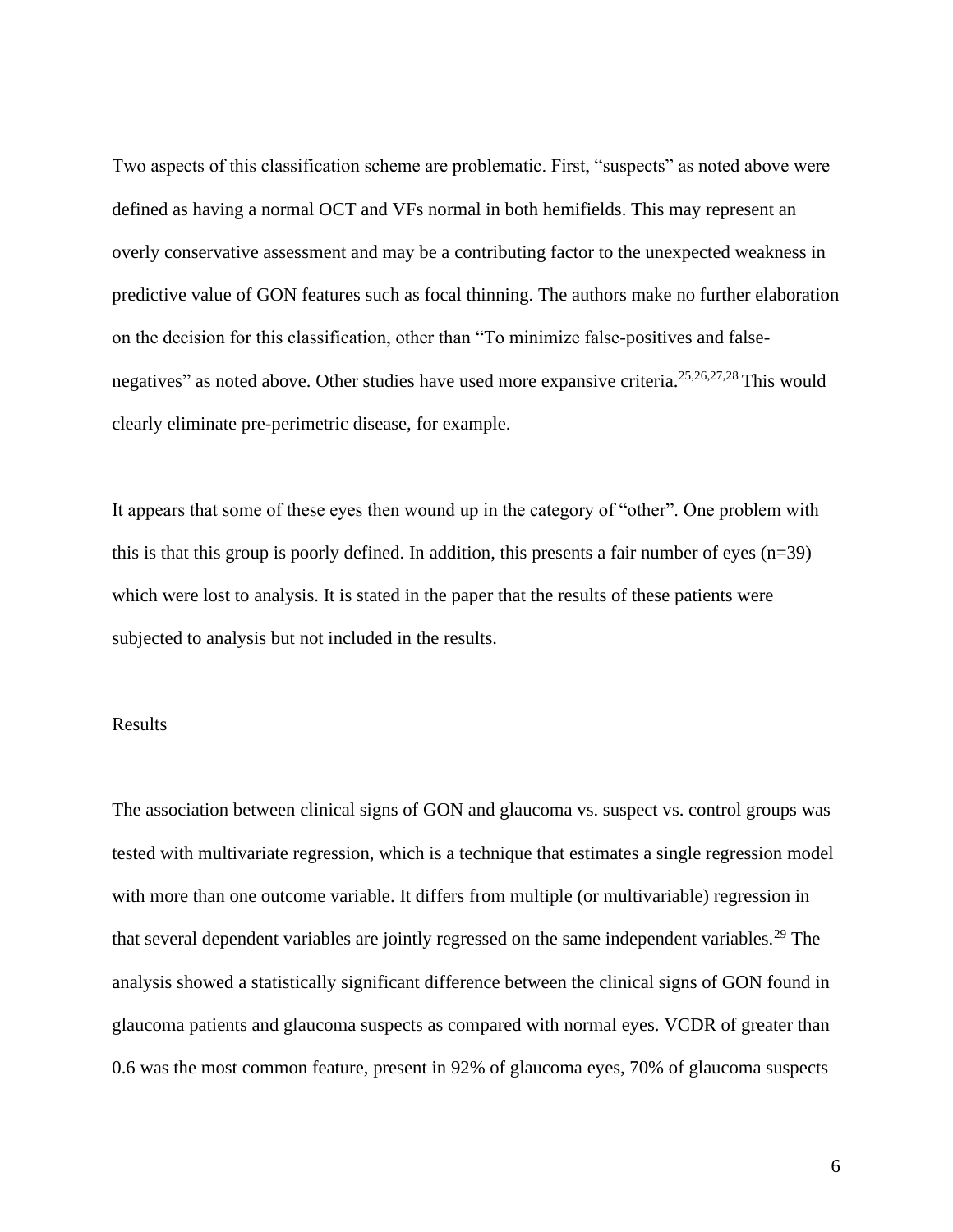Two aspects of this classification scheme are problematic. First, "suspects" as noted above were defined as having a normal OCT and VFs normal in both hemifields. This may represent an overly conservative assessment and may be a contributing factor to the unexpected weakness in predictive value of GON features such as focal thinning. The authors make no further elaboration on the decision for this classification, other than "To minimize false-positives and falsenegatives" as noted above. Other studies have used more expansive criteria.<sup>25,26,27,28</sup> This would clearly eliminate pre-perimetric disease, for example.

It appears that some of these eyes then wound up in the category of "other". One problem with this is that this group is poorly defined. In addition, this presents a fair number of eyes (n=39) which were lost to analysis. It is stated in the paper that the results of these patients were subjected to analysis but not included in the results.

# Results

The association between clinical signs of GON and glaucoma vs. suspect vs. control groups was tested with multivariate regression, which is a technique that estimates a single regression model with more than one outcome variable. It differs from multiple (or multivariable) regression in that several dependent variables are jointly regressed on the same independent variables.<sup>29</sup> The analysis showed a statistically significant difference between the clinical signs of GON found in glaucoma patients and glaucoma suspects as compared with normal eyes. VCDR of greater than 0.6 was the most common feature, present in 92% of glaucoma eyes, 70% of glaucoma suspects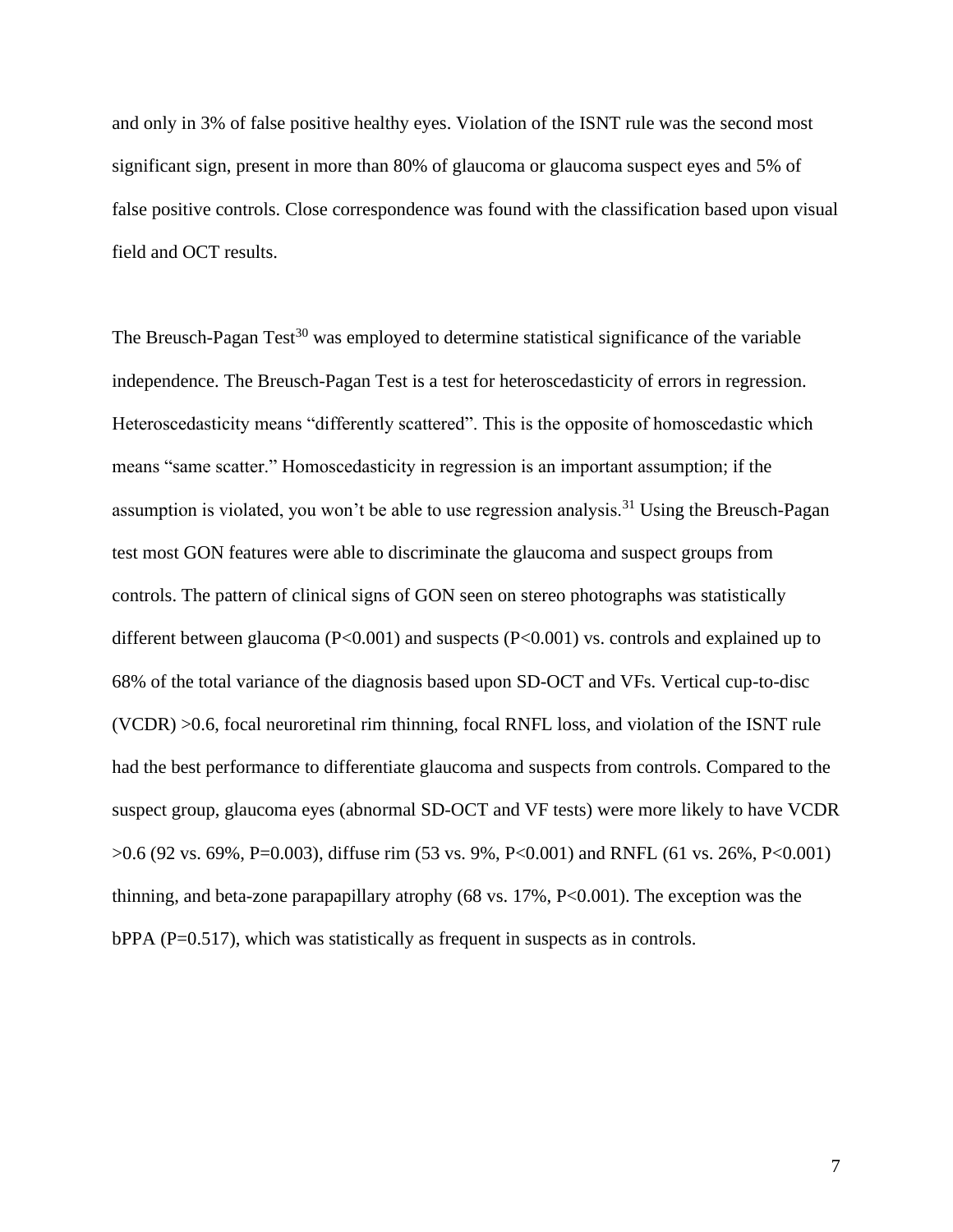and only in 3% of false positive healthy eyes. Violation of the ISNT rule was the second most significant sign, present in more than 80% of glaucoma or glaucoma suspect eyes and 5% of false positive controls. Close correspondence was found with the classification based upon visual field and OCT results.

The Breusch-Pagan  $Test^{30}$  was employed to determine statistical significance of the variable independence. The Breusch-Pagan Test is a test for heteroscedasticity of errors in regression. Heteroscedasticity means "differently scattered". This is the opposite of homoscedastic which means "same scatter." Homoscedasticity in regression is an important assumption; if the assumption is violated, you won't be able to use regression analysis.<sup>31</sup> Using the Breusch-Pagan test most GON features were able to discriminate the glaucoma and suspect groups from controls. The pattern of clinical signs of GON seen on stereo photographs was statistically different between glaucoma (P<0.001) and suspects (P<0.001) vs. controls and explained up to 68% of the total variance of the diagnosis based upon SD-OCT and VFs. Vertical cup-to-disc (VCDR) >0.6, focal neuroretinal rim thinning, focal RNFL loss, and violation of the ISNT rule had the best performance to differentiate glaucoma and suspects from controls. Compared to the suspect group, glaucoma eyes (abnormal SD-OCT and VF tests) were more likely to have VCDR >0.6 (92 vs. 69%, P=0.003), diffuse rim (53 vs. 9%, P<0.001) and RNFL (61 vs. 26%, P<0.001) thinning, and beta-zone parapapillary atrophy (68 vs. 17%, P<0.001). The exception was the bPPA (P=0.517), which was statistically as frequent in suspects as in controls.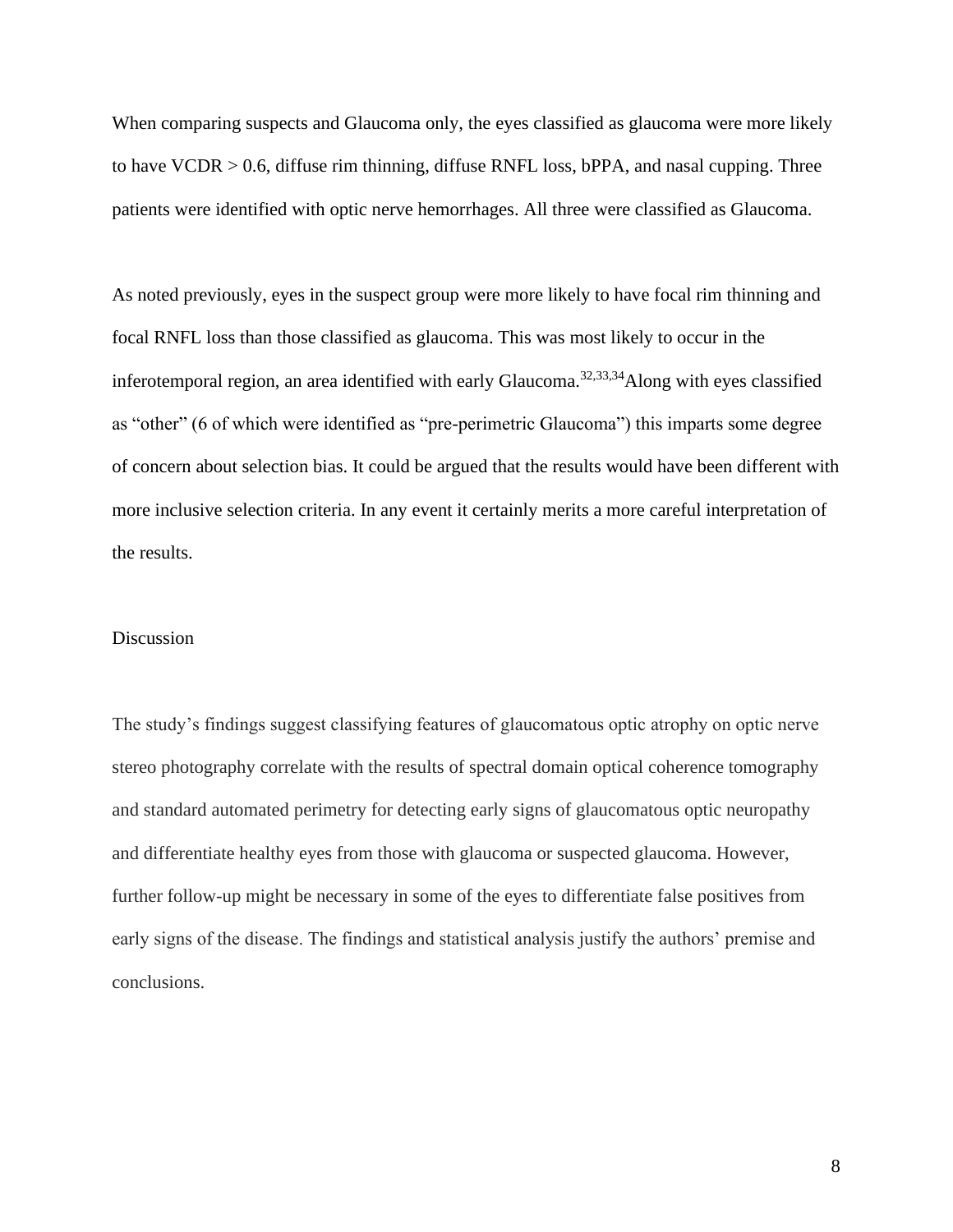When comparing suspects and Glaucoma only, the eyes classified as glaucoma were more likely to have VCDR > 0.6, diffuse rim thinning, diffuse RNFL loss, bPPA, and nasal cupping. Three patients were identified with optic nerve hemorrhages. All three were classified as Glaucoma.

As noted previously, eyes in the suspect group were more likely to have focal rim thinning and focal RNFL loss than those classified as glaucoma. This was most likely to occur in the inferotemporal region, an area identified with early Glaucoma.<sup>32,33,34</sup>Along with eyes classified as "other" (6 of which were identified as "pre-perimetric Glaucoma") this imparts some degree of concern about selection bias. It could be argued that the results would have been different with more inclusive selection criteria. In any event it certainly merits a more careful interpretation of the results.

## Discussion

The study's findings suggest classifying features of glaucomatous optic atrophy on optic nerve stereo photography correlate with the results of spectral domain optical coherence tomography and standard automated perimetry for detecting early signs of glaucomatous optic neuropathy and differentiate healthy eyes from those with glaucoma or suspected glaucoma. However, further follow-up might be necessary in some of the eyes to differentiate false positives from early signs of the disease. The findings and statistical analysis justify the authors' premise and conclusions.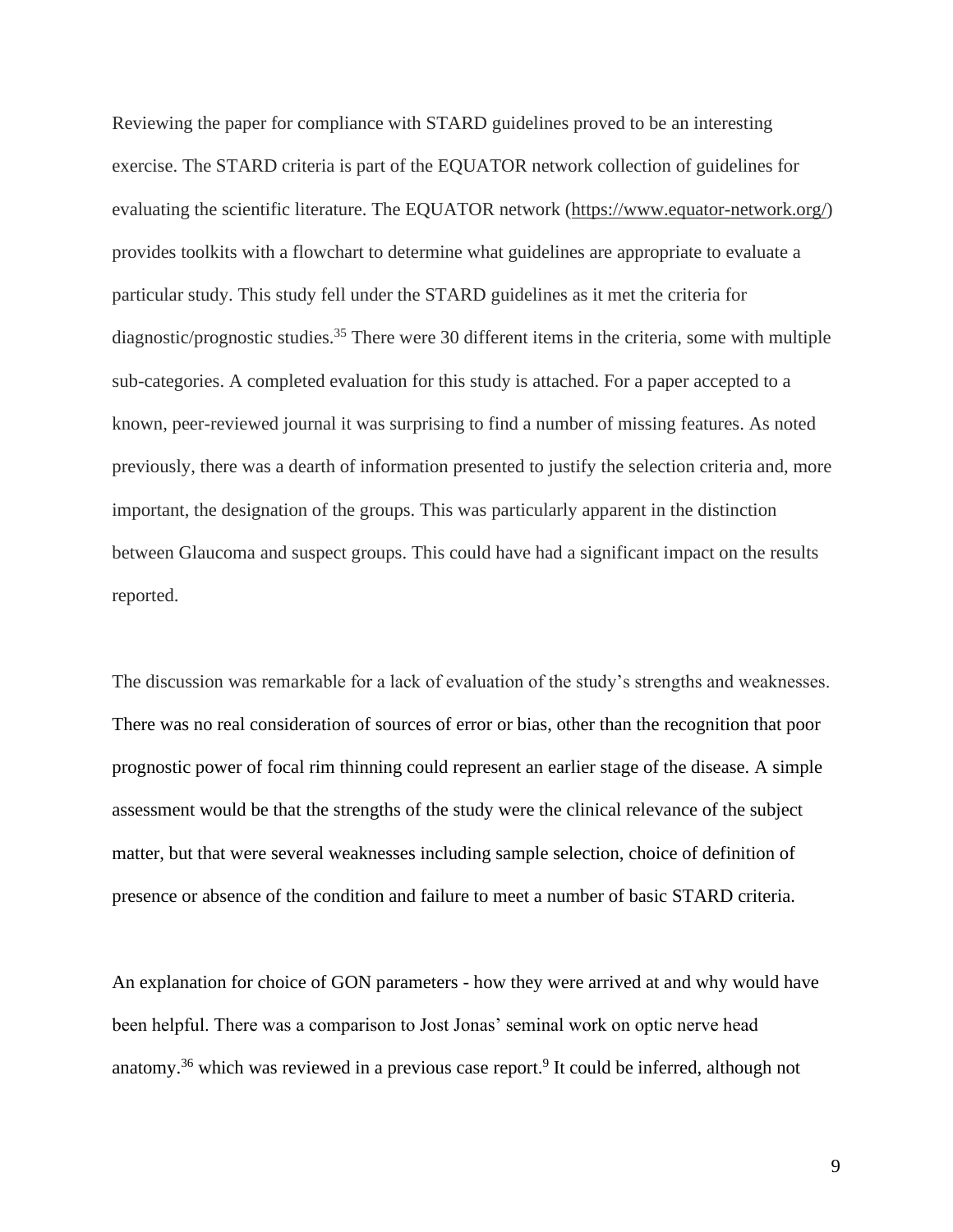Reviewing the paper for compliance with STARD guidelines proved to be an interesting exercise. The STARD criteria is part of the EQUATOR network collection of guidelines for evaluating the scientific literature. The EQUATOR network [\(https://www.equator-network.org/\)](https://www.equator-network.org/) provides toolkits with a flowchart to determine what guidelines are appropriate to evaluate a particular study. This study fell under the STARD guidelines as it met the criteria for diagnostic/prognostic studies.<sup>35</sup> There were 30 different items in the criteria, some with multiple sub-categories. A completed evaluation for this study is attached. For a paper accepted to a known, peer-reviewed journal it was surprising to find a number of missing features. As noted previously, there was a dearth of information presented to justify the selection criteria and, more important, the designation of the groups. This was particularly apparent in the distinction between Glaucoma and suspect groups. This could have had a significant impact on the results reported.

The discussion was remarkable for a lack of evaluation of the study's strengths and weaknesses. There was no real consideration of sources of error or bias, other than the recognition that poor prognostic power of focal rim thinning could represent an earlier stage of the disease. A simple assessment would be that the strengths of the study were the clinical relevance of the subject matter, but that were several weaknesses including sample selection, choice of definition of presence or absence of the condition and failure to meet a number of basic STARD criteria.

An explanation for choice of GON parameters - how they were arrived at and why would have been helpful. There was a comparison to Jost Jonas' seminal work on optic nerve head anatomy.<sup>36</sup> which was reviewed in a previous case report.<sup>9</sup> It could be inferred, although not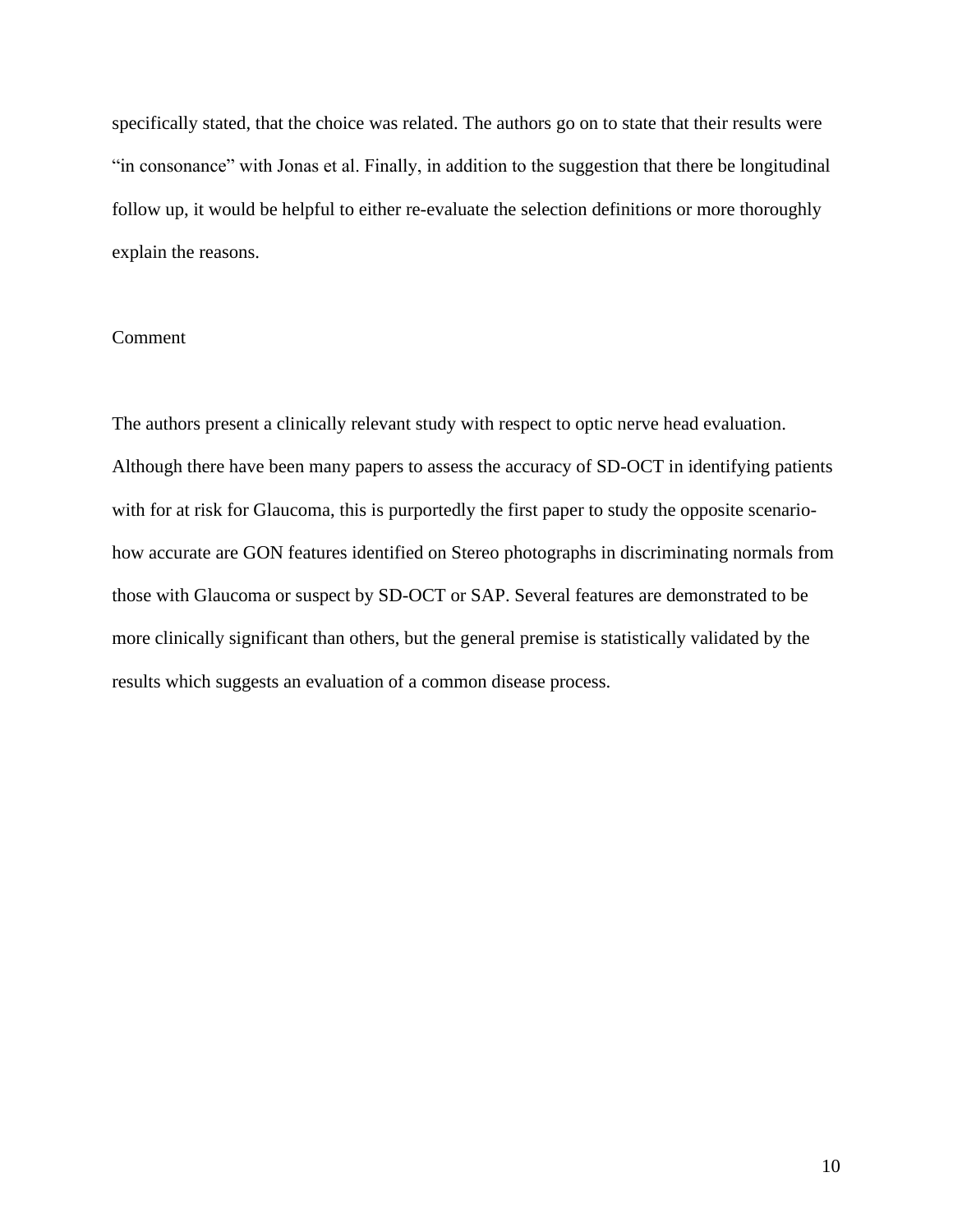specifically stated, that the choice was related. The authors go on to state that their results were "in consonance" with Jonas et al. Finally, in addition to the suggestion that there be longitudinal follow up, it would be helpful to either re-evaluate the selection definitions or more thoroughly explain the reasons.

# Comment

The authors present a clinically relevant study with respect to optic nerve head evaluation. Although there have been many papers to assess the accuracy of SD-OCT in identifying patients with for at risk for Glaucoma, this is purportedly the first paper to study the opposite scenariohow accurate are GON features identified on Stereo photographs in discriminating normals from those with Glaucoma or suspect by SD-OCT or SAP. Several features are demonstrated to be more clinically significant than others, but the general premise is statistically validated by the results which suggests an evaluation of a common disease process.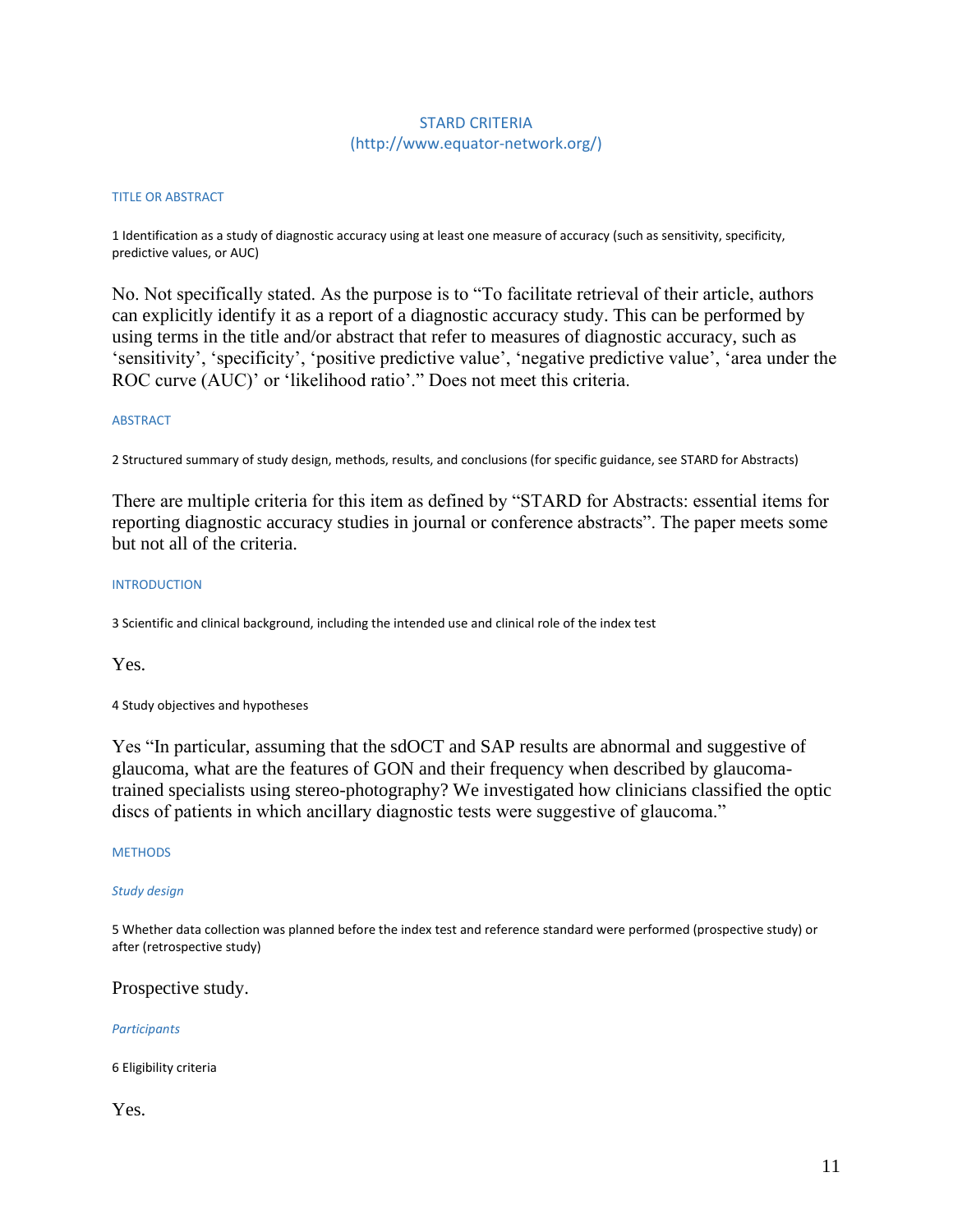# STARD CRITERIA (http://www.equator-network.org/)

#### TITLE OR ABSTRACT

1 Identification as a study of diagnostic accuracy using at least one measure of accuracy (such as sensitivity, specificity, predictive values, or AUC)

No. Not specifically stated. As the purpose is to "To facilitate retrieval of their article, authors can explicitly identify it as a report of a diagnostic accuracy study. This can be performed by using terms in the title and/or abstract that refer to measures of diagnostic accuracy, such as 'sensitivity', 'specificity', 'positive predictive value', 'negative predictive value', 'area under the ROC curve (AUC)' or 'likelihood ratio'." Does not meet this criteria.

#### ABSTRACT

2 Structured summary of study design, methods, results, and conclusions (for specific guidance, see STARD for Abstracts)

There are multiple criteria for this item as defined by "STARD for Abstracts: essential items for reporting diagnostic accuracy studies in journal or conference abstracts". The paper meets some but not all of the criteria.

#### INTRODUCTION

3 Scientific and clinical background, including the intended use and clinical role of the index test

Yes.

4 Study objectives and hypotheses

Yes "In particular, assuming that the sdOCT and SAP results are abnormal and suggestive of glaucoma, what are the features of GON and their frequency when described by glaucomatrained specialists using stereo-photography? We investigated how clinicians classified the optic discs of patients in which ancillary diagnostic tests were suggestive of glaucoma."

#### **METHODS**

## *Study design*

5 Whether data collection was planned before the index test and reference standard were performed (prospective study) or after (retrospective study)

# Prospective study.

## *Participants*

6 Eligibility criteria

# Yes.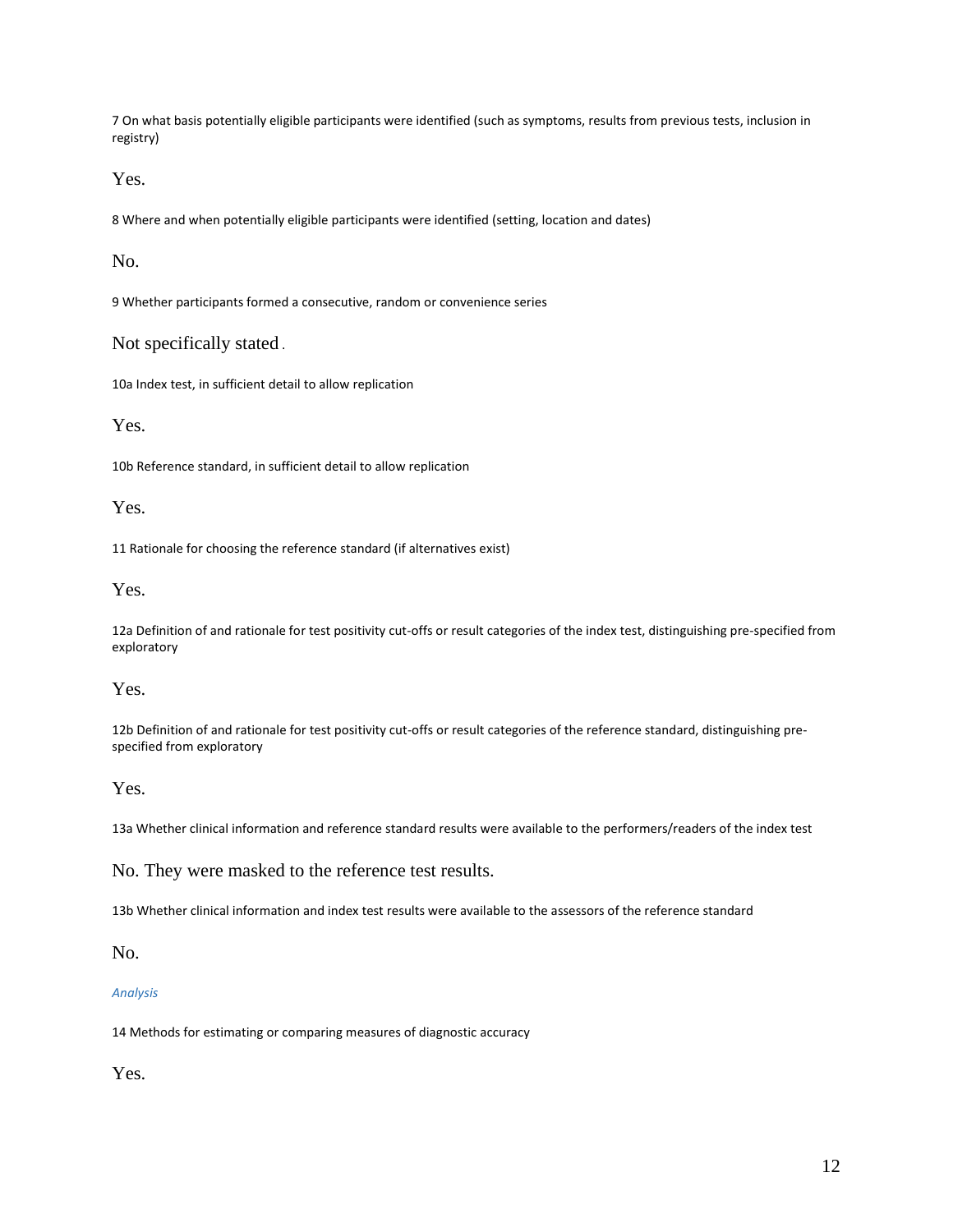7 On what basis potentially eligible participants were identified (such as symptoms, results from previous tests, inclusion in registry)

Yes.

8 Where and when potentially eligible participants were identified (setting, location and dates)

No.

9 Whether participants formed a consecutive, random or convenience series

Not specifically stated .

10a Index test, in sufficient detail to allow replication

Yes.

10b Reference standard, in sufficient detail to allow replication

Yes.

11 Rationale for choosing the reference standard (if alternatives exist)

Yes.

12a Definition of and rationale for test positivity cut-offs or result categories of the index test, distinguishing pre-specified from exploratory

Yes.

12b Definition of and rationale for test positivity cut-offs or result categories of the reference standard, distinguishing prespecified from exploratory

Yes.

13a Whether clinical information and reference standard results were available to the performers/readers of the index test

No. They were masked to the reference test results.

13b Whether clinical information and index test results were available to the assessors of the reference standard

No.

*Analysis*

14 Methods for estimating or comparing measures of diagnostic accuracy

Yes.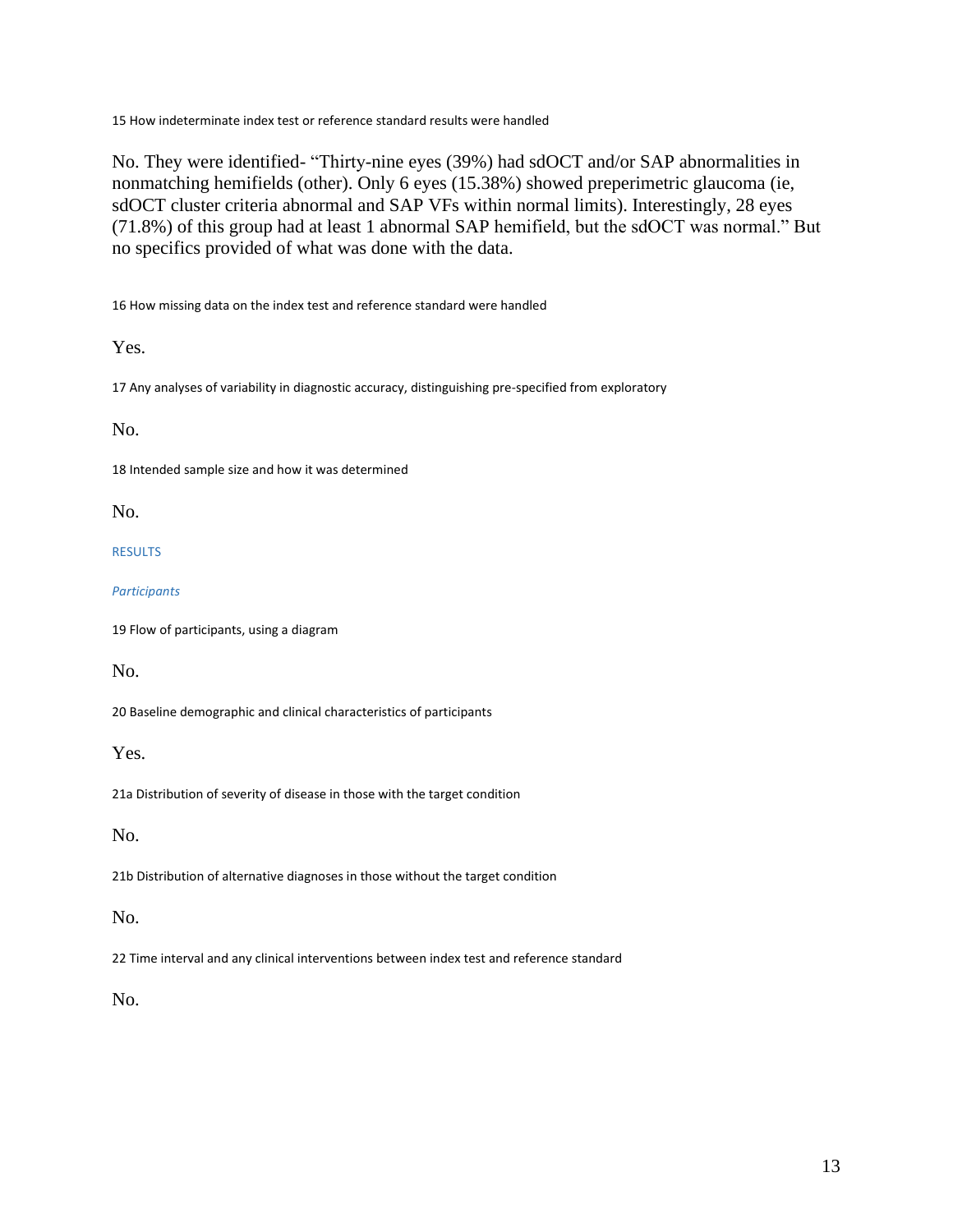15 How indeterminate index test or reference standard results were handled

No. They were identified- "Thirty-nine eyes (39%) had sdOCT and/or SAP abnormalities in nonmatching hemifields (other). Only 6 eyes (15.38%) showed preperimetric glaucoma (ie, sdOCT cluster criteria abnormal and SAP VFs within normal limits). Interestingly, 28 eyes (71.8%) of this group had at least 1 abnormal SAP hemifield, but the sdOCT was normal." But no specifics provided of what was done with the data.

16 How missing data on the index test and reference standard were handled

Yes.

17 Any analyses of variability in diagnostic accuracy, distinguishing pre-specified from exploratory

No.

18 Intended sample size and how it was determined

No.

RESULTS

*Participants*

19 Flow of participants, using a diagram

No.

20 Baseline demographic and clinical characteristics of participants

Yes.

21a Distribution of severity of disease in those with the target condition

No.

21b Distribution of alternative diagnoses in those without the target condition

No.

22 Time interval and any clinical interventions between index test and reference standard

No.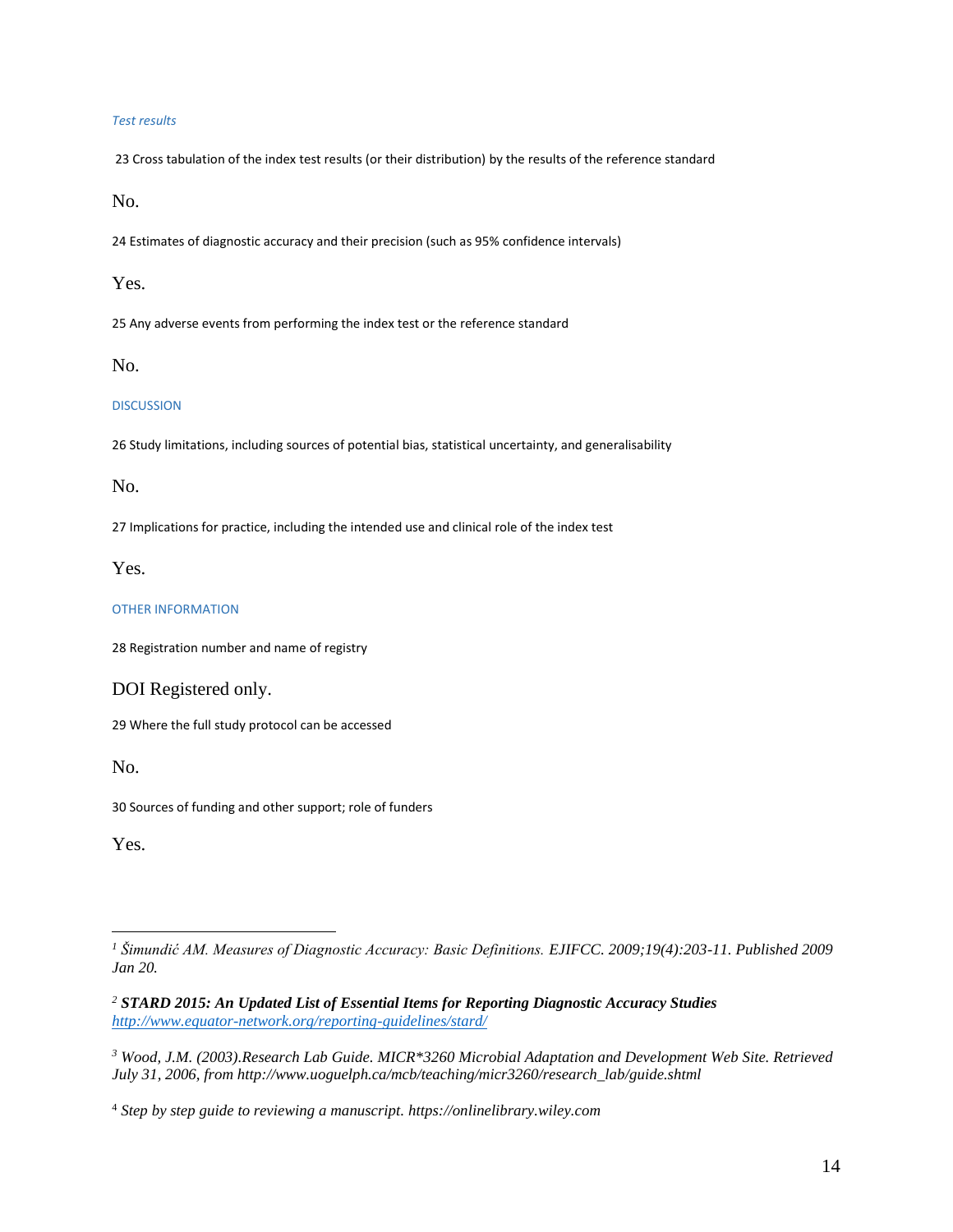#### *Test results*

23 Cross tabulation of the index test results (or their distribution) by the results of the reference standard

No.

24 Estimates of diagnostic accuracy and their precision (such as 95% confidence intervals)

Yes.

25 Any adverse events from performing the index test or the reference standard

No.

#### **DISCUSSION**

26 Study limitations, including sources of potential bias, statistical uncertainty, and generalisability

No.

27 Implications for practice, including the intended use and clinical role of the index test

Yes.

## OTHER INFORMATION

28 Registration number and name of registry

# DOI Registered only.

29 Where the full study protocol can be accessed

No.

30 Sources of funding and other support; role of funders

Yes.

*<sup>2</sup> STARD 2015: An Updated List of Essential Items for Reporting Diagnostic Accuracy Studies <http://www.equator-network.org/reporting-guidelines/stard/>*

*<sup>1</sup> Šimundić AM. Measures of Diagnostic Accuracy: Basic Definitions. EJIFCC. 2009;19(4):203-11. Published 2009 Jan 20.*

*<sup>3</sup> Wood, J.M. (2003).Research Lab Guide. MICR\*3260 Microbial Adaptation and Development Web Site. Retrieved July 31, 2006, from http://www.uoguelph.ca/mcb/teaching/micr3260/research\_lab/guide.shtml* 

<sup>4</sup> *Step by step guide to reviewing a manuscript. https://onlinelibrary.wiley.com*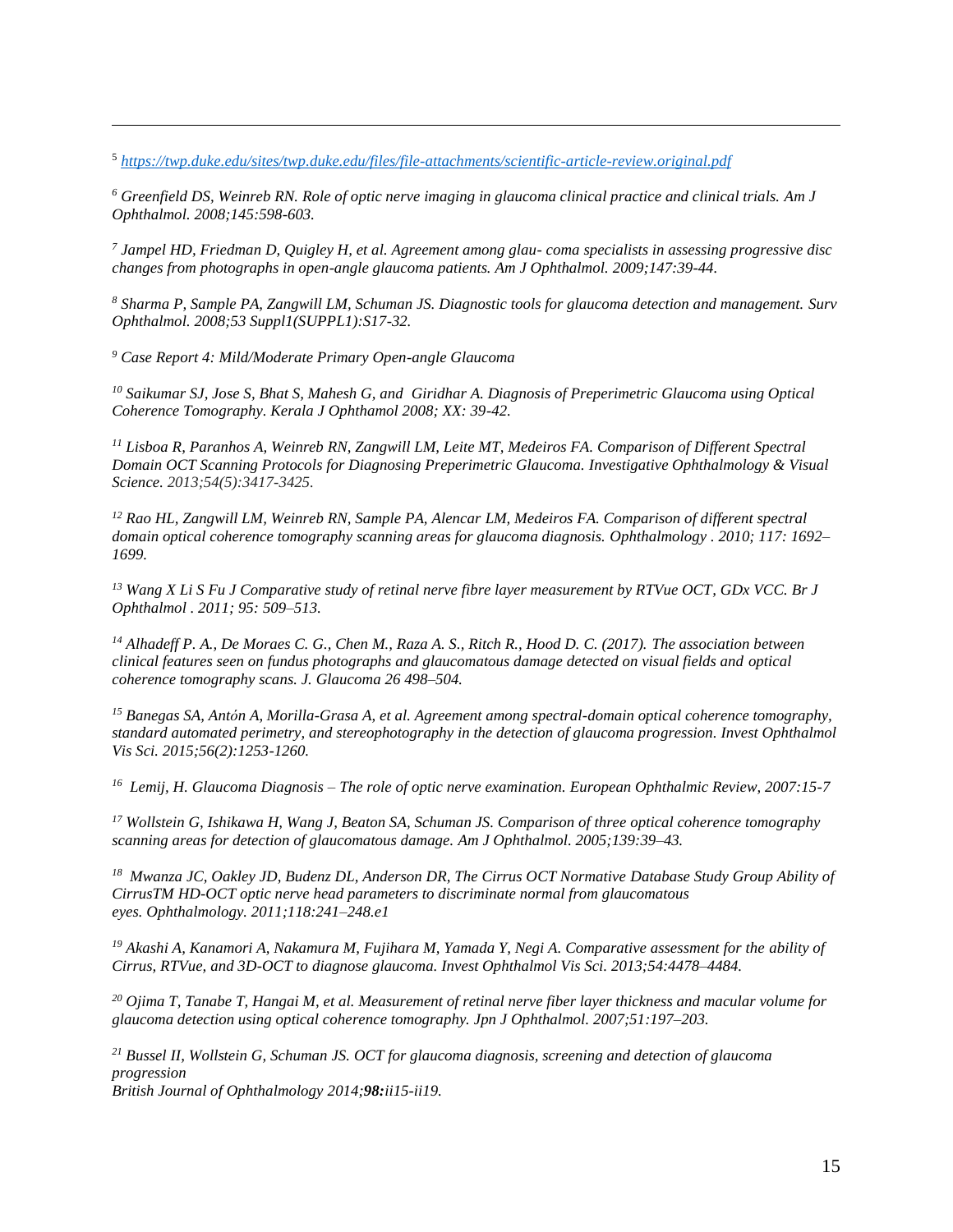<sup>5</sup> *<https://twp.duke.edu/sites/twp.duke.edu/files/file-attachments/scientific-article-review.original.pdf>*

*<sup>6</sup> Greenfield DS, Weinreb RN. Role of optic nerve imaging in glaucoma clinical practice and clinical trials. Am J Ophthalmol. 2008;145:598-603.* 

*7 Jampel HD, Friedman D, Quigley H, et al. Agreement among glau- coma specialists in assessing progressive disc changes from photographs in open-angle glaucoma patients. Am J Ophthalmol. 2009;147:39-44.* 

*<sup>8</sup> Sharma P, Sample PA, Zangwill LM, Schuman JS. Diagnostic tools for glaucoma detection and management. Surv Ophthalmol. 2008;53 Suppl1(SUPPL1):S17-32.*

*<sup>9</sup> Case Report 4: Mild/Moderate Primary Open-angle Glaucoma*

*<sup>10</sup> Saikumar SJ, Jose S, Bhat S, Mahesh G, and Giridhar A. Diagnosis of Preperimetric Glaucoma using Optical Coherence Tomography. Kerala J Ophthamol 2008; XX: 39-42.*

*<sup>11</sup> Lisboa R, Paranhos A, Weinreb RN, Zangwill LM, Leite MT, Medeiros FA. Comparison of Different Spectral Domain OCT Scanning Protocols for Diagnosing Preperimetric Glaucoma. Investigative Ophthalmology & Visual Science. 2013;54(5):3417-3425.*

*<sup>12</sup> Rao HL, Zangwill LM, Weinreb RN, Sample PA, Alencar LM, Medeiros FA. Comparison of different spectral domain optical coherence tomography scanning areas for glaucoma diagnosis. Ophthalmology . 2010; 117: 1692– 1699.*

*<sup>13</sup> Wang X Li S Fu J Comparative study of retinal nerve fibre layer measurement by RTVue OCT, GDx VCC. Br J Ophthalmol . 2011; 95: 509–513.*

*<sup>14</sup> Alhadeff P. A., De Moraes C. G., Chen M., Raza A. S., Ritch R., Hood D. C. (2017). The association between clinical features seen on fundus photographs and glaucomatous damage detected on visual fields and optical coherence tomography scans. J. Glaucoma 26 498–504.*

*<sup>15</sup> Banegas SA, Antón A, Morilla-Grasa A, et al. Agreement among spectral-domain optical coherence tomography, standard automated perimetry, and stereophotography in the detection of glaucoma progression. Invest Ophthalmol Vis Sci. 2015;56(2):1253-1260.* 

*16 Lemij, H. Glaucoma Diagnosis – The role of optic nerve examination. European Ophthalmic Review, 2007:15-7* 

*<sup>17</sup> Wollstein G, Ishikawa H, Wang J, Beaton SA, Schuman JS. Comparison of three optical coherence tomography scanning areas for detection of glaucomatous damage. Am J Ophthalmol. 2005;139:39–43.*

*<sup>18</sup> Mwanza JC, Oakley JD, Budenz DL, Anderson DR, The Cirrus OCT Normative Database Study Group Ability of CirrusTM HD-OCT optic nerve head parameters to discriminate normal from glaucomatous eyes. Ophthalmology. 2011;118:241–248.e1*

*<sup>19</sup> Akashi A, Kanamori A, Nakamura M, Fujihara M, Yamada Y, Negi A. Comparative assessment for the ability of Cirrus, RTVue, and 3D-OCT to diagnose glaucoma. Invest Ophthalmol Vis Sci. 2013;54:4478–4484.*

*<sup>20</sup> Ojima T, Tanabe T, Hangai M, et al. Measurement of retinal nerve fiber layer thickness and macular volume for glaucoma detection using optical coherence tomography. Jpn J Ophthalmol. 2007;51:197–203.*

*<sup>21</sup> Bussel II, Wollstein G, Schuman JS. OCT for glaucoma diagnosis, screening and detection of glaucoma progression*

*British Journal of Ophthalmology 2014;98:ii15-ii19.*